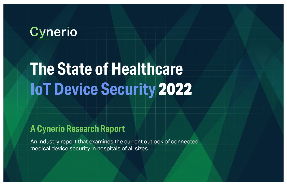## Cynerio

# **The State of Healthcare IoT Device Security** 2022

## **A Cynerio Research Report**

An industry report that examines the current outlook of connected medical device security in hospitals of all sizes.

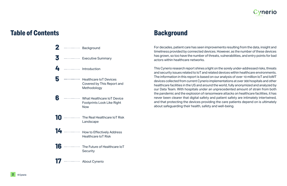

<span id="page-1-0"></span>For decades, patient care has seen improvements resulting from the data, insight and timeliness provided by connected devices. However, as the number of these devices has grown, so too have the number of threats, vulnerabilities, and entry points for bad actors within healthcare networks.

This Cynerio research report shines a light on the sorely under-addressed risks, threats and security issues related to IoT and related devices within healthcare environments. The information in this report is based on our analysis of over 10 million IoT and IoMT devices collected from current Cynerio implementations at over 300 hospitals and other healthcare facilities in the US and around the world, fully anonymized and analyzed by our Data Team. With hospitals under an unprecedented amount of strain from both the pandemic and the explosion of ransomware attacks on healthcare facilities, it has never been clearer that digital safety and patient safety are intimately intertwined, and that protecting the devices providing the care patients depend on is ultimately about safeguarding their health, safety and well-being.

#### **Table of Contents Background**

| 2                            | . | <b>Background</b>                                                                    |
|------------------------------|---|--------------------------------------------------------------------------------------|
| 3                            | . | <b>Executive Summary</b>                                                             |
| 4                            | . | Introduction                                                                         |
| 5                            | . | <b>Healthcare IoT Devices</b><br>Covered by This Report and<br>Methodology           |
|                              | . | <b>What Healthcare IoT Device</b><br><b>Footprints Look Like Right</b><br><b>Now</b> |
| $\lfloor \textbf{0} \rfloor$ |   | The Real Healthcare IoT Risk<br>Landscape                                            |
| 14                           | . | <b>How to Effectively Address</b><br><b>Healthcare IoT Risk</b>                      |
| 6                            | . | The Future of Healthcare IoT<br><b>Security</b>                                      |
|                              | . | <b>About Cynerio</b>                                                                 |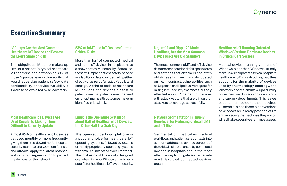#### vnerio

#### **IV Pumps Are the Most Common Healthcare IoT Device and Possess the Lion's Share of Risk**

The ubiquitous IV pump makes up 38% of a hospital's typical healthcare IoT footprint, and a whopping 73% of those IV pumps have a vulnerability that would jeopardize patient safety, data confidentiality, or service availability if it were to be exploited by an adversary.

#### **53% of IoMT and IoT Devices Contain Critical Risks**

More than half of connected medical and other IoT devices in hospitals have a known critical vulnerability. If attacked, these will impact patient safety, service availability or data confidentiality, either directly or as part of an attack's collateral damage. A third of bedside healthcare IoT devices, the devices closest to patient care that patients most depend on for optimal health outcomes, have an identified critical risk.

<span id="page-2-0"></span>**Executive Summary** 

#### **Healthcare IoT Running Outdated Windows Versions Dominate Devices in Critical Care Sectors**

- 
- 
- 
- 
- 
- 
- 

#### **Urgent11 and Ripple20 Made Headlines, but the Most Common Device Risks Are Old Standbys**

Medical devices running versions of Windows older than Windows 10 only make up a small part of a typical hospital's healthcare IoT infrastructure, but they account for the majority of devices used by pharmacology, oncology, and laboratory devices, and make up a plurality of devices used by radiology, neurology, and surgery departments. This leaves patients connected to those devices vulnerable, since those older versions of Windows are already past end of life and replacing the machines they run on will still take several years in most cases. The most common IoMT and IoT device risks are connected to default passwords and settings that attackers can often obtain easily from manuals posted online. In contrast, vulnerabilities such as Urgent11 and Ripple20 were great for raising IoMT security awareness, but only affected about 10 percent of devices with attack vectors that are difficult for attackers to leverage successfully. **Network Segmentation Is Hugely** 

#### **Most Healthcare IoT Devices Are Used Regularly, Making Them Difficult to Securely Update**

Almost 80% of healthcare IoT devices get used monthly or more frequently, giving them little downtime for hospital security teams to analyze them for risks and attacks, apply the latest patches, and carry out segmentation to protect the devices on the network.

#### **Linux Is the Operating System of about Half of Healthcare IoT Devices, the Other Half Is a Grab Bag**

The open-source Linux platform is a popular choice for healthcare IoT operating systems, followed by dozens of mostly proprietary operating systems with small chunks of the overall footprint. This makes most IT security designed overwhelmingly for Windows machines a poor fit for healthcare IoT cybersecurity.

#### **Beneficial for Reducing Critical IoMT and IoT Risk**

Segmentation that takes medical workflows and patient care contexts into account addresses over 90 percent of the critical risks presented by connected devices in hospitals and is the most effective way to mitigate and remediate most risks that connected devices present.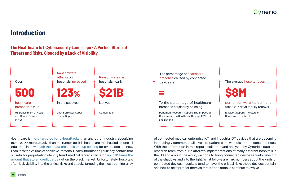

#### <span id="page-3-0"></span>**Introduction**

#### **The Healthcare IoT Cybersecurity Landscape - A Perfect Storm of Threats and Risks, Clouded by a Lack of Visibility**



Healthcare is [more targeted for cyberattacks](https://cybersecurityventures.com/healthcare-industry-to-spend-125-billion-on-cybersecurity-from-2020-to-2025/) than any other industry, absorbing 100 to 200% more attacks than the runner-up. It is healthcare that has led among all industries in [how much their data breaches end up costing](https://www.dataendure.com/wp-content/uploads/2021_Cost_of_a_Data_Breach_-2.pdf) for over a decade now. Thanks to the volume of sensitive Personal Health Information (PHI) they contain that is useful for perpetrating identity fraud, medical records can fetch [up to 50 times the](https://www.fiercehealthcare.com/hospitals/industry-voices-forget-credit-card-numbers-medical-records-are-hottest-items-dark-web) [amount that stolen credit cards get](https://www.fiercehealthcare.com/hospitals/industry-voices-forget-credit-card-numbers-medical-records-are-hottest-items-dark-web) on the black market. Unfortunately, hospitals often lack visibility into the critical risks and attacks targeting the mushrooming array

of connected medical, enterprise IoT, and industrial OT devices that are becoming increasingly common at all levels of patient care, with disastrous consequences. With the information in this report, collected and analyzed by Cynerio's data and research team from our platform's implementations at many different hospitals in the US and around the world, we hope to bring connected device security risks out of the shadows and into the light. What follows are hard numbers about the kinds of connected devices hospitals tend to have, the critical risks those devices contain, and how to best protect them as threats and attacks continue to evolve.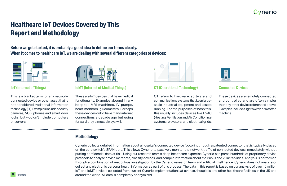



## <span id="page-4-0"></span>**Healthcare IoT Devices Covered by This Report and Methodology**

**Before we get started, it is probably a good idea to define our terms clearly. When it comes to healthcare IoT, we are dealing with several different categories of devices:**



#### **IoT (Internet of Things)**

This is a blanket term for any networkconnected device or other asset that is not considered traditional information technology (IT). Examples include security cameras, VOIP phones and smart door locks, but wouldn't include computers or servers.



#### **IoMT (Internet of Medical Things)**

These are IoT devices that have medical functionality. Examples abound in any hospital: MRI machines, IV pumps, heart monitors, glucometers. Perhaps these devices didn't have many internet connections a decade ago but going forward they almost always will.



#### **OT (Operational Technology)**

OT refers to hardware, software and communications systems that keep largescale industrial equipment and assets running. For the purposes of hospitals, this usually includes devices like HVAC (Heating, Ventilation and Air Conditioning) systems, elevators, and electrical grids.

#### **Connected Devices**

| d             | These devices are remotely connected        |
|---------------|---------------------------------------------|
| $\frac{1}{2}$ | and controlled and are often simpler        |
| S             | than any other device referenced above.     |
| s,            | Examples include a light switch or a coffee |
| ၟ             | machine.                                    |
| J)            |                                             |
| 3.            |                                             |
|               |                                             |

#### **Methodology**

Cynerio collects detailed information about a hospital's connected device footprint through a patented connector that is typically placed on the core switch's SPAN port. This allows Cynerio to passively monitor the network traffic of connected devices immediately without putting confidential data at risk. Using our research team's deep healthcare expertise Cynerio can parse hundreds of proprietary device protocols to analyze device metadata, classify devices, and compile information about their risks and vulnerabilities. Analysis is performed through a combination of meticulous investigation by the Cynerio research team and artificial intelligence. Cynerio does not analyze or collect any electronic personal health information as part of this process. The data in this report is based on our analysis of over 10 million IoT and IoMT devices collected from current Cynerio implementations at over 300 hospitals and other healthcare facilities in the US and around the world. All data is completely anonymized.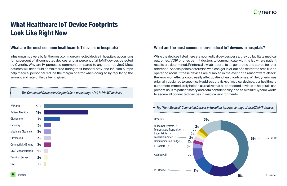

## <span id="page-5-0"></span>**What Healthcare IoT Device Footprints Look Like Right Now**

#### **What are the most common healthcare IoT devices in hospitals?**

Infusion pumps were by far the most common connected device in hospitals, accounting for 12 percent of all connected devices, and 38 percent of all IoMT devices detected by Cynerio. Why are IV pumps so common compared to any other device? Most patients will need fluid administered during their hospital stay, and infusion pumps help medical personnel reduce the margin of error when doing so by regulating the amount and rate of fluids being given.



*Top Connected Devices in Hospitals (as a percentage of all IoT/IoMT devices)*

#### **What are the most common non-medical IoT devices in hospitals?**

| <b>Top "Non-Medical" Connected Devices in</b>                                                                                                                                                  |     |
|------------------------------------------------------------------------------------------------------------------------------------------------------------------------------------------------|-----|
|                                                                                                                                                                                                | 38% |
| Nurse Call System <----------------- 2%<br>Temperature Transmitter <------- 2%<br>Label Printer <------------------- $2$ %<br>Touch Computer <------------- 2%<br>Communication Badge <---- 2% |     |
| IP Camera $\leftarrow$ 3%<br>Access Point $\leftarrow$ 7%                                                                                                                                      |     |
| loT Device <-----------------------<br><b>1%</b>                                                                                                                                               |     |



While the devices listed here are not medical devices per se, they do facilitate medical outcomes. VOIP phones permit doctors to communicate with the lab where patient results are determined. Printers allow lab reports to be generated and stored for later reference. Access points determine who can get in or out of a restricted area like an operating room. If these devices are disabled in the event of a ransomware attack, the knock-on effects could easily affect patient health outcomes. While Cynerio was originally designed to specifically address the risks of medical devices, our healthcare customers immediately helped us realize that all connected devices in hospitals can present risks to patient safety and data confidentiality, and as a result Cynerio works to secure all connected devices in medical environments.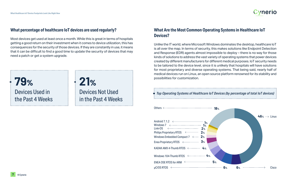

#### **What percentage of healthcare IoT devices are used regularly?**

Most devices get used at least once a month. While this is great in terms of hospitals getting a good return on their investment when it comes to device utilization, this has consequences for the security of those devices. If they are constantly in use, it means that it can be difficult to find a good time to update the security of devices that may need a patch or get a system upgrade.

#### **What Are the Most Common Operating Systems in Healthcare IoT Devices?**

Unlike the IT world, where Microsoft Windows dominates the desktop, healthcare IoT is all over the map. In terms of security, this makes solutions like Endpoint Detection and Response (EDR) agents almost impossible to deploy – there is no way for those kinds of solutions to address the vast variety of operating systems that power devices created by different manufacturers for different medical purposes. IoT security needs to be tailored to the device level, since it is unlikely that hospitals will have solutions for most proprietary and diverse operating systems. That being said, nearly half of medical devices run on Linux, an open source platform renowned for its stability and possibilities for customization.

Devices Used in the Past 4 Weeks **79%**

Devices Not Used in the Past 4 Weeks

**21%**

| Android 7.1.2 <-------------------------------- 1%                                                                                                       |  |
|----------------------------------------------------------------------------------------------------------------------------------------------------------|--|
| <u>Link-OS &lt;--------------------------------- 2%</u>                                                                                                  |  |
| Philips Proprietary RTOS <------------- 2%                                                                                                               |  |
| Windows Embedded Compact 7 $\leftarrow$ $\cdots$ 2%                                                                                                      |  |
|                                                                                                                                                          |  |
| KADAK AMX 4-Thumb RTOS $\leftarrow$ $\leftarrow$ $\leftarrow$ $\leftarrow$ $\leftarrow$ $\leftarrow$ $\leftarrow$ $\leftarrow$ $\leftarrow$ $\leftarrow$ |  |
| Windows 104-Thumb RTOS <----------------- 4%                                                                                                             |  |
| ENEA OSE RTOS for ARM <--------------------------                                                                                                        |  |
|                                                                                                                                                          |  |

| <b>Top Operating Systems of Healthcare I</b> |
|----------------------------------------------|
| Others <-------                              |

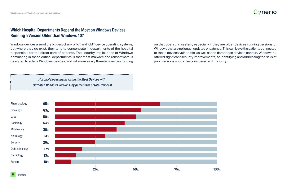



#### **Which Hospital Departments Depend the Most on Windows Devices Running a Version Older than Windows 10?**

Windows devices are not the biggest chunk of IoT and IoMT device operating systems, but where they do exist, they tend to concentrate in departments of the hospital responsible for the direct care of patients. The security implications of Windows dominating in these critical departments is that most malware and ransomware is designed to attack Windows devices, and will more easily threaten devices running

*Hospital Departments Using the Most Devices with Outdated Windows Versions (by percentage of total devices)*

on that operating system, especially if they are older devices running versions of Windows that are no longer updated or patched. This can leave the patients connected to those devices vulnerable, as well as the data those devices contain. Windows 10 offered significant security improvements, so identifying and addressing the risks of prior versions should be considered an IT priority.

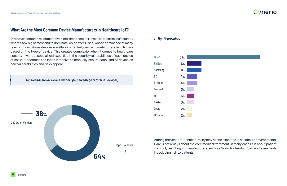

#### **What Are the Most Common Device Manufacturers in Healthcare IoT?**

Device vendors are a much more diverse lot than computer or mobile phone manufacturers, where a few big names tend to dominate. Aside from Cisco, whose dominance of many telecommunications devices is well-documented, device manufacturers tend to vary based on the type of device. This creates complexity when it comes to healthcare security – without specialized expertise in the security vulnerabilities of each device at scale, it becomes too labor-intensive to manually secure each kind of device as new vulnerabilities and risks appear.

*Top Healthcare IoT Device Vendors (by percentage of total IoT devices)*





#### *Top 10 providers*

Among the vendors identified, many may not be expected in healthcare environments. Care is not always about the core medical treatment. In many cases it is about patient comfort, resulting in manufacturers such as Sony, Nintendo, Roku and even Tesla introducing risk to patients.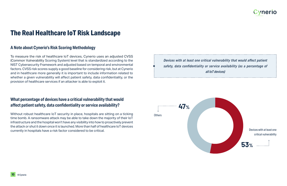

### <span id="page-9-0"></span>**The Real Healthcare IoT Risk Landscape**

#### **A Note about Cynerio's Risk Scoring Methodology**

To measure the risk of healthcare IoT devices, Cynerio uses an adjusted CVSS (Common Vulnerability Scoring System) level that is standardized according to the NIST Cybersecurity Framework and adjusted based on temporal and environmental factors. CVSS risk scores supply a good baseline for considering risk, but at Cynerio and in healthcare more generally it is important to include information related to whether a given vulnerability will affect patient safety, data confidentiality, or the provision of healthcare services if an attacker is able to exploit it.

#### **What percentage of devices have a critical vulnerability that would affect patient safety, data confidentiality or service availability?**

Without robust healthcare IoT security in place, hospitals are sitting on a ticking time bomb. A ransomware attack may be able to take down the majority of their IoT infrastructure and the hospital won't have any visibility into how to proactively prevent the attack or shut it down once it is launched. More than half of healthcare IoT devices currently in hospitals have a risk factor considered to be critical.



*Devices with at least one critical vulnerability that would affect patient safety, data confidentiality or service availability (as a percentage of all IoT devices)*

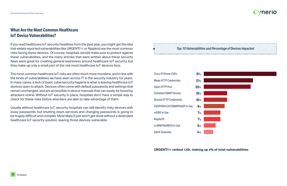

| d Percentage of Devices Impacted |  |
|----------------------------------|--|
|                                  |  |
|                                  |  |
|                                  |  |
|                                  |  |
|                                  |  |
|                                  |  |
|                                  |  |
|                                  |  |

#### **What Are the Most Common Healthcare IoT Device Vulnerabilities?**

If you read healthcare IoT security headlines from the past year, you might get the idea that widely reported vulnerabilities like URGENT/11 or Ripple20 are the most common risks facing these devices. Of course, hospitals should make sure to protect against these vulnerabilities, and the many articles that were written about these security flaws were great for creating general awareness around healthcare IoT security, but they make up only a small part of the risk most healthcare IoT devices face.

The most common healthcare IoT risks are often much more mundane, and in line with the kinds of vulnerabilities we have seen across IT in the security industry for years. In many cases, a lack of basic cybersecurity hygiene is what is leaving healthcare IoT devices open to attack. Devices often come with default passwords and settings that remain unchanged, and are accessible in device manuals that can easily be found by attackers online. Without IoT security in place, hospitals don't have a simple way to check for these risks before attackers are able to take advantage of them.

Usually without healthcare IoT, security hospitals can still identify risky devices with lousy passwords, but shutting down services and changing passwords is going to be hugely difficult and complex. Most likely it just won't get done without a dedicated healthcare IoT security solution, leaving those devices vulnerable.

*Top 10 Vulnerabilities and* 

| Cisco IP Phone CVEs            | 31%             |  |
|--------------------------------|-----------------|--|
| <b>Weak HTTP Credentials</b>   | 21%             |  |
| <b>Open HTTP Port</b>          | 20 <sub>%</sub> |  |
| <b>Outdated SNMP Version</b>   | 10 <sub>%</sub> |  |
| <b>Shared HTTP Credentials</b> | 10 <sub>%</sub> |  |
| SSDP/SRVLOC/SNMP/SADP In Use   | 9%              |  |
| mDNS In Use                    | 7%              |  |
| Ripple20                       | 7%              |  |
| <b>LLMNR/NetBIOS In Use</b>    | 5%              |  |
| <b>SACK Slowness</b>           | 4%              |  |
|                                |                 |  |

**URGENT/11 ranked 12th, making up 4% of total vulnerabilities.**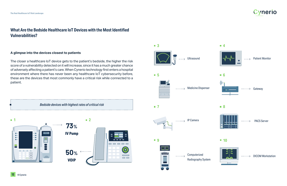

#### **What Are the Bedside Healthcare IoT Devices with the Most Identified Vulnerabilities?**

#### **A glimpse into the devices closest to patients**

The closer a healthcare IoT device gets to the patient's bedside, the higher the risk score of a vulnerability detected on it will increase, since it has a much greater chance of adversely affecting a patient's care. When Cynerio technology first enters a hospital environment where there has never been any healthcare IoT cybersecurity before, these are the devices that most commonly have a critical risk while connected to a



Computerized

 $\cdots$  . . . . . . . .  $\rightarrow$ 

Radiography System



#### --------> DICOM Workstation



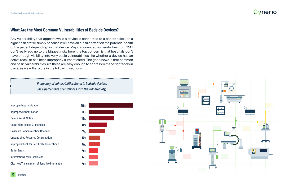

#### **What Are the Most Common Vulnerabilities of Bedside Devices?**

Any vulnerability that appears while a device is connected to a patient takes on a higher risk profile simply because it will have an outsize effect on the potential health of the patient depending on that device. Major announced vulnerabilities from 2021 don't really add up to the biggest risks here; the top concern is that hospitals don't have enough visibility into very basic vulnerabilities like whether a device has an active recall or has been improperly authenticated. The good news is that common and basic vulnerabilities like these are easy enough to address with the right tools in place, as we will explore in the following sections.

| <b>Improper Input Validation</b>                       | <b>19%</b> |
|--------------------------------------------------------|------------|
| <b>Improper Authentication</b>                         | 11%        |
| <b>Device Recall Notice</b>                            | 11%        |
| Use of Hard-coded Credentials                          | 8%         |
| <b>Unsecure Communication Channel</b>                  | 7%         |
| <b>Uncontrolled Resource Consumption</b>               | 5%         |
| <b>Improper Check for Certificate Revocationn</b>      | 5%         |
| <b>Buffer Errors</b>                                   | 4%         |
| <b>Information Leak / Disclosure</b>                   | 4%         |
| <b>Cleartext Transmission of Sensitive Information</b> | 4%         |
|                                                        |            |



*Frequency of vulnerabilities found in bedside devices (as a percentage of all devices with the vulnerability)*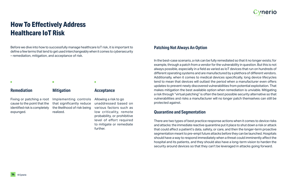

## <span id="page-13-0"></span>**How To Effectively Address Healthcare IoT Risk**

Before we dive into how to successfully manage healthcare IoT risk, it is important to define a few terms that tend to get used interchangeably when it comes to cybersecurity – remediation, mitigation, and acceptance of risk.

#### **Patching Not Always An Option**

In the best-case scenario, a risk can be fully remediated so that it no longer exists; for example, through a patch from a vendor for the vulnerability in question. But this is not always possible, especially in a field as varied as IoT devices that run on hundreds of different operating systems and are manufactured by a plethora of different vendors. Additionally, when it comes to medical devices specifically, long device lifecycles tend to mean that devices will outlast the period when a manufacturer even offers updates to prevent newly discovered vulnerabilities from potential exploitation. That makes mitigation the best available option when remediation is unviable. Mitigating a risk through "virtual patching" is often the best possible security alternative so that vulnerabilities and risks a manufacturer will no longer patch themselves can still be protected against.

#### **Quarantine and Segmentation**

There are two types of best practice response actions when it comes to device risks and attacks: the immediate reactive quarantine put it place to shut down a risk or attack that could affect a patient's data, safety, or care, and then the longer-term proactive segmentation meant to pre-empt future attacks before they can be launched. Hospitals should have a way to respond immediately when a threat could imminently affect the hospital and its patients, and they should also have a long-term vision to harden the security around devices so that they can't be leveraged in attacks going forward.

Fixing or patching a root cause to the point that the identified risk is completely expunged.



Implementing controls that significantly reduce the likelihood of risk being realized.

Allowing a risk to go unaddressed based on various factors such as low criticality, remote probability, or prohibitive level of effort required to mitigate or remediate further.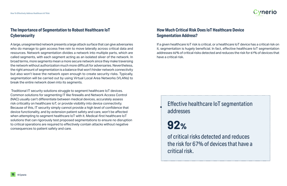

#### **The Importance of Segmentation to Robust Healthcare IoT Cybersecurity**

A large, unsegmented network presents a large attack surface that can give adversaries who do manage to gain access free rein to move laterally across critical data and resources. Network segmentation divides a network into multiple parts, which are called segments, with each segment acting as an isolated sliver of the network. In broad terms, more segments mean a more secure network since they make traversing the network without authorization much more difficult for adversaries. Nevertheless, the right amount of segmentation is a balance that won't hinder network connectivity but also won't leave the network open enough to create security risks. Typically, segmentation will be carried out by using Virtual Local Area Networks (VLANs) to break the entire network down into its segments.

 Traditional IT security solutions struggle to segment healthcare IoT devices. Common solutions for segmenting IT like firewalls and Network Access Control (NAC) usually can't differentiate between medical devices, accurately assess risk criticality on healthcare IoT, or provide visibility into device connectivity. Because of this, IT security simply cannot provide a high level of confidence that device functionality, and by extension patient safety and care, won't be affected when attempting to segment healthcare IoT with it. Medical-first healthcare IoT solutions that can rigorously test proposed segmentations to ensure no disruption to critical operations are required to effectively contain attacks without negative consequences to patient safety and care.

#### **How Much Critical Risk Does IoT Healthcare Device Segmentation Address?**

If a given healthcare IoT risk is critical, or a healthcare IoT device has a critical risk on it, segmentation is hugely beneficial. In fact, effective healthcare IoT segmentation addresses 92% of critical risks detected and reduces the risk for 67% of devices that have a critical risk.

#### Effective healthcare IoT segmentation addresses

of critical risks detected and reduces the risk for 67% of devices that have a critical risk.

**92%**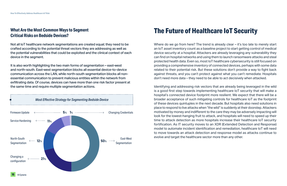#### **What Are the Most Common Ways to Segment Critical Risks on Bedside Devices?**

Not all IoT healthcare network segmentations are created equal; they need to be crafted according to the potential threat vectors they are addressing as well as the potential vulnerabilities that could be exploited and the clinical context of each device in the segment.



It is also worth highlighting the two main forms of segmentation – east-west and north-south. East-west segmentation blocks all essential device-to-device communication across the LAN, while north-south segmentation blocks all nonessential communication to prevent malicious entities within the network from exfiltrating data. Of course, devices can have more than one risk factor present at the same time and require multiple segmentation actions.

Where do we go from here? The trend is already clear – it's too late to merely start an IoT asset inventory count as a baseline project to start getting control of medical device security at a hospital. Attackers are already leveraging any vulnerability they can find on hospital networks and using them to launch ransomware attacks and steal protected health data. Even so, most IoT healthcare cybersecurity is still focused on providing a comprehensive inventory of connected devices, perhaps with some data related to their potential risk. But these solutions don't provide a way to fight back against threats, and you can't protect against what you can't remediate. Hospitals don't need more data – they need to be able to act decisively when attacked.

## <span id="page-15-0"></span>**The Future of Healthcare IoT Security**

Identifying and addressing risk vectors that are already being leveraged in the wild is a good first step towards implementing healthcare IoT security that will make a hospital's connected device footprint more resilient. We expect that there will be a broader acceptance of such mitigating controls for healthcare IoT as the footprint of these devices quintuples in the next decade. But hospitals also need solutions in place to respond to live attacks when "the wild" is suddenly at their doorstep. Attackers motivated by money and indifferent to the care they may be adversely impacting will look for the lowest-hanging fruit to attack, and hospitals will need to speed up their time to attack detection as more hospitals increase their healthcare IoT security fortification. As IT security moves to an XDR (Extended Detection and Response) model to automate incident identification and remediation, healthcare IoT will need to move towards an attack detection and response model as attacks continue to evolve and target the healthcare sector more than any other.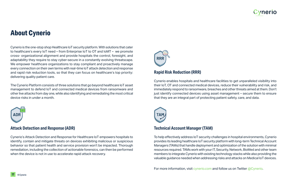

### <span id="page-16-0"></span>**About Cynerio**

Cynerio is the one-stop shop Healthcare IoT security platform. With solutions that cater to healthcare's every IoT need – from Enterprise IoT to OT and IoMT – we promote cross- organizational alignment and provide hospitals the control, foresight, and adaptability they require to stay cyber-secure in a constantly evolving threatscape. We empower healthcare organizations to stay compliant and proactively manage every connection on their own terms with real-time IoT attack detection and response and rapid risk reduction tools, so that they can focus on healthcare's top priority: delivering quality patient care.

The Cynerio Platform consists of three solutions that go beyond healthcare IoT asset management to defend IoT and connected medical devices from ransomware and other live attacks from day one, while also identifying and remediating the most critical device risks in under a month.



#### **Attack Detection and Response (ADR)**

Cynerio's Attack Detection and Response for Healthcare IoT empowers hospitals to identify, contain and mitigate threats on devices exhibiting malicious or suspicious behavior so that patient health and service provision won't be impacted. Thorough remediation, including the collection of actionable forensics, can then be performed when the device is not in use to accelerate rapid attack recovery.



#### **Rapid Risk Reduction (RRR)**

Cynerio enables hospitals and healthcare facilities to get unparalleled visibility into their IoT, OT and connected medical devices, reduce their vulnerability and risk, and immediately respond to ransomware, breaches and other threats aimed at them. Don't just identify connected devices using asset management – secure them to ensure that they are an integral part of protecting patient safety, care, and data.



#### **Technical Account Manager (TAM)**

To help effectively address IoT security challenges in hospital environments, Cynerio provides its leading healthcare IoT security platform with long-term Technical Account Managers (TAMs) that handle deployment and optimization of the solution with minimal resources required. TAMs work with your IT, Security, Network, BioMed and other team members to integrate Cynerio with existing technology stacks while also providing the valuable guidance needed when addressing risks and attacks on Medical IoT devices.

For more information, visit [cynerio.com](https://www.cynerio.com) and follow us on Twitter [@Cynerio](https://twitter.com/cynerio?lang=en).